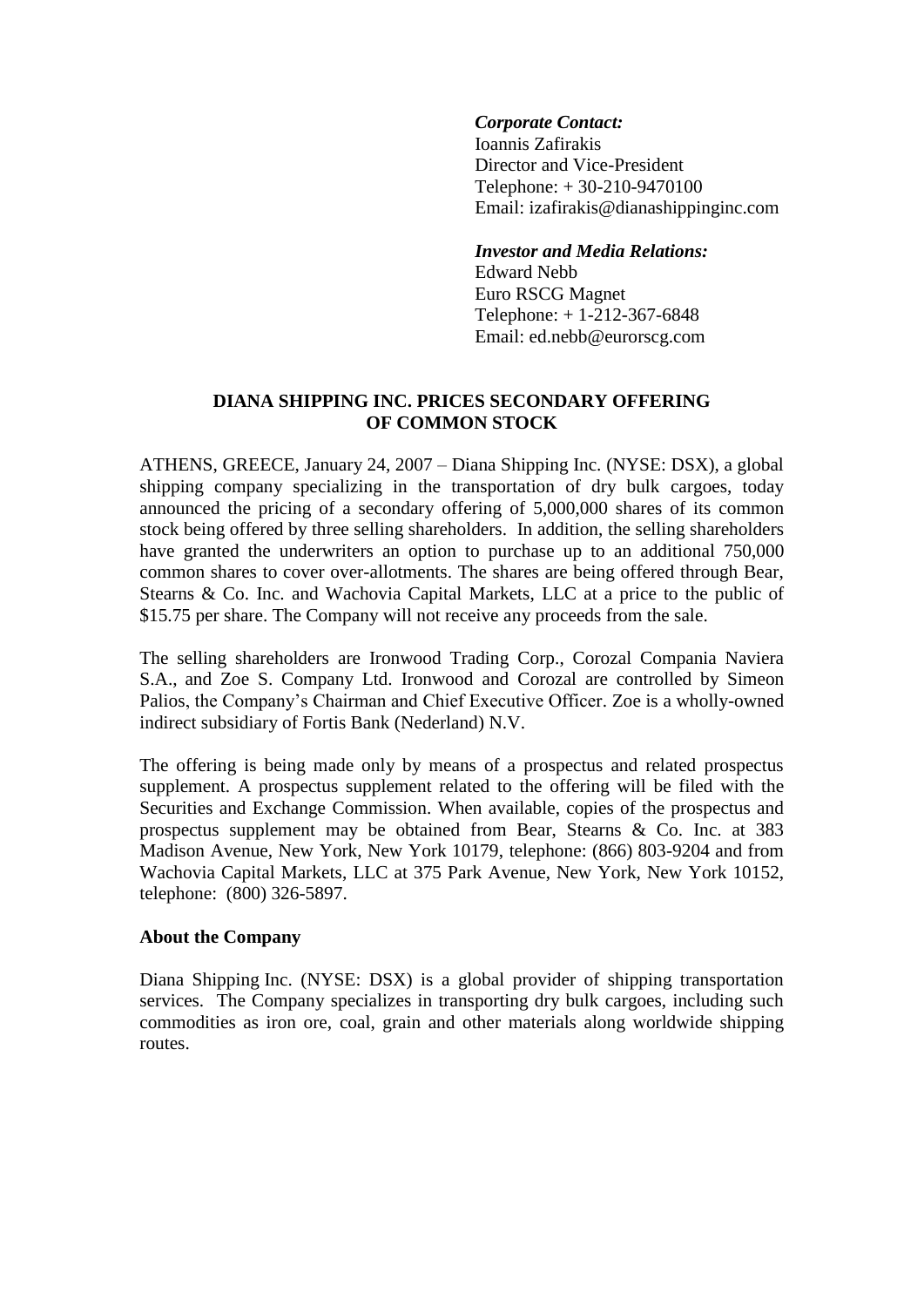## *Corporate Contact:*

Ioannis Zafirakis Director and Vice-President Telephone: + 30-210-9470100 Email: izafirakis@dianashippinginc.com

### *Investor and Media Relations:*

Edward Nebb Euro RSCG Magnet Telephone: + 1-212-367-6848 Email: ed.nebb@eurorscg.com

# **DIANA SHIPPING INC. PRICES SECONDARY OFFERING OF COMMON STOCK**

ATHENS, GREECE, January 24, 2007 – Diana Shipping Inc. (NYSE: DSX), a global shipping company specializing in the transportation of dry bulk cargoes, today announced the pricing of a secondary offering of 5,000,000 shares of its common stock being offered by three selling shareholders. In addition, the selling shareholders have granted the underwriters an option to purchase up to an additional 750,000 common shares to cover over-allotments. The shares are being offered through Bear, Stearns & Co. Inc. and Wachovia Capital Markets, LLC at a price to the public of \$15.75 per share. The Company will not receive any proceeds from the sale.

The selling shareholders are Ironwood Trading Corp., Corozal Compania Naviera S.A., and Zoe S. Company Ltd. Ironwood and Corozal are controlled by Simeon Palios, the Company's Chairman and Chief Executive Officer. Zoe is a wholly-owned indirect subsidiary of Fortis Bank (Nederland) N.V.

The offering is being made only by means of a prospectus and related prospectus supplement. A prospectus supplement related to the offering will be filed with the Securities and Exchange Commission. When available, copies of the prospectus and prospectus supplement may be obtained from Bear, Stearns & Co. Inc. at 383 Madison Avenue, New York, New York 10179, telephone: (866) 803-9204 and from Wachovia Capital Markets, LLC at 375 Park Avenue, New York, New York 10152, telephone: (800) 326-5897.

### **About the Company**

Diana Shipping Inc. (NYSE: DSX) is a global provider of shipping transportation services. The Company specializes in transporting dry bulk cargoes, including such commodities as iron ore, coal, grain and other materials along worldwide shipping routes.